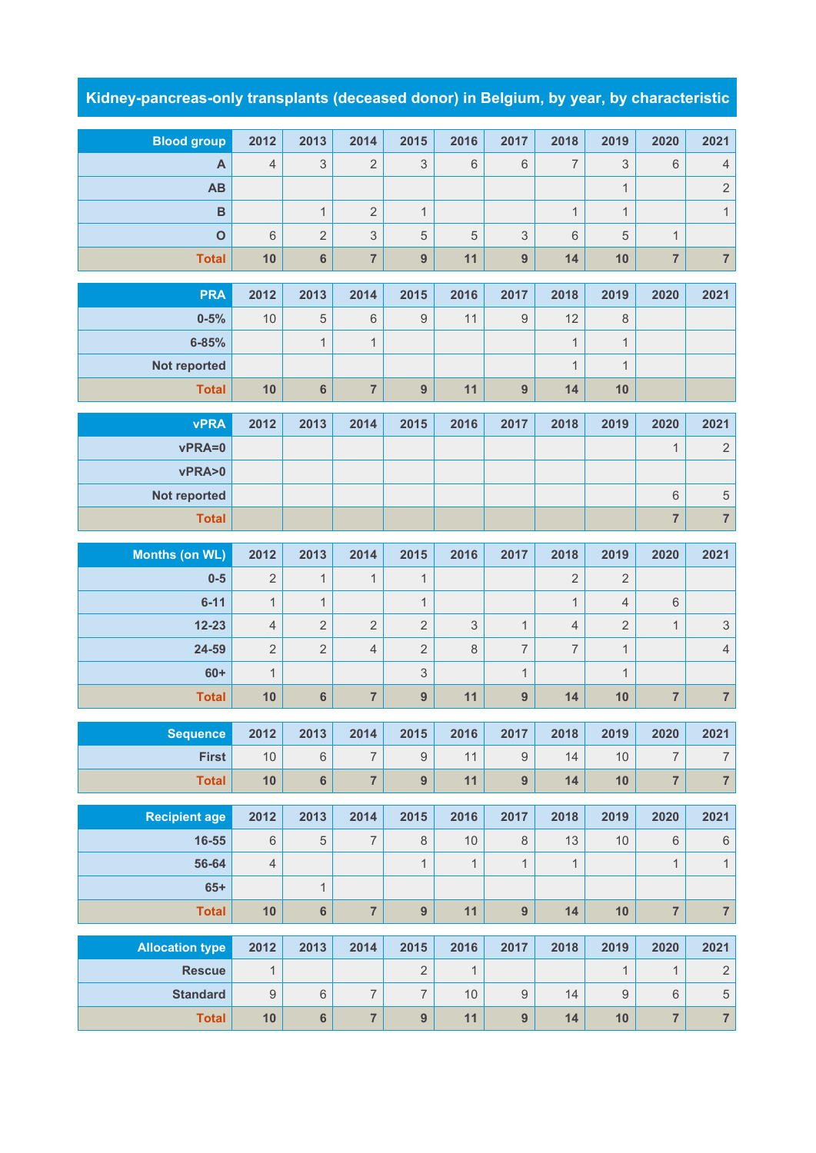## **Kidney-pancreas-only transplants (deceased donor) in Belgium, by year, by characteristic**

| <b>Blood group</b>     | 2012           | 2013           | 2014           | 2015                     | 2016         | 2017             | 2018           | 2019             | 2020                    | 2021                      |
|------------------------|----------------|----------------|----------------|--------------------------|--------------|------------------|----------------|------------------|-------------------------|---------------------------|
| A                      | $\overline{4}$ | 3              | $\overline{2}$ | 3                        | 6            | 6                | $\overline{7}$ | 3                | $6\phantom{1}$          | $\overline{4}$            |
| AB                     |                |                |                |                          |              |                  |                | $\mathbf{1}$     |                         | $\sqrt{2}$                |
| $\mathbf B$            |                | $\mathbf{1}$   | $\overline{2}$ | $\mathbf{1}$             |              |                  | $\mathbf{1}$   | $\mathbf{1}$     |                         | $\mathbf{1}$              |
| $\mathbf{o}$           | 6              | $\overline{2}$ | 3              | $\sqrt{5}$               | 5            | 3                | 6              | 5                | $\mathbf{1}$            |                           |
| <b>Total</b>           | 10             | $6\phantom{a}$ | $\overline{7}$ | 9                        | 11           | 9                | 14             | 10               | $\overline{7}$          | $\overline{\mathcal{I}}$  |
| <b>PRA</b>             | 2012           |                |                |                          |              | 2017             |                |                  |                         | 2021                      |
| $0 - 5%$               | 10             | 2013<br>5      | 2014<br>$6\,$  | 2015<br>$\boldsymbol{9}$ | 2016<br>11   | $\boldsymbol{9}$ | 2018<br>12     | 2019<br>8        | 2020                    |                           |
| $6 - 85%$              |                | $\mathbf{1}$   | $\mathbf{1}$   |                          |              |                  | $\mathbf{1}$   | $\mathbf{1}$     |                         |                           |
| Not reported           |                |                |                |                          |              |                  | $\mathbf{1}$   | $\mathbf{1}$     |                         |                           |
| <b>Total</b>           | 10             | $6\phantom{a}$ | $\overline{7}$ | 9                        | 11           | 9                | 14             | 10               |                         |                           |
|                        |                |                |                |                          |              |                  |                |                  |                         |                           |
| <b>vPRA</b>            | 2012           | 2013           | 2014           | 2015                     | 2016         | 2017             | 2018           | 2019             | 2020                    | 2021                      |
| vPRA=0                 |                |                |                |                          |              |                  |                |                  | $\mathbf{1}$            | $\sqrt{2}$                |
| vPRA>0                 |                |                |                |                          |              |                  |                |                  |                         |                           |
| Not reported           |                |                |                |                          |              |                  |                |                  | $\,$ 6 $\,$             | $\sqrt{5}$                |
| <b>Total</b>           |                |                |                |                          |              |                  |                |                  | $\overline{7}$          | $\overline{\mathbf{7}}$   |
| <b>Months (on WL)</b>  | 2012           | 2013           | 2014           | 2015                     | 2016         | 2017             | 2018           | 2019             | 2020                    | 2021                      |
|                        |                |                |                |                          |              |                  |                |                  |                         |                           |
| $0-5$                  | $\overline{2}$ | $\mathbf{1}$   | $\mathbf{1}$   | $\mathbf{1}$             |              |                  | $\overline{2}$ | $\overline{2}$   |                         |                           |
| $6 - 11$               | $\mathbf{1}$   | $\mathbf{1}$   |                | $\mathbf{1}$             |              |                  | $\mathbf{1}$   | 4                | $\,$ 6 $\,$             |                           |
| $12 - 23$              | $\overline{4}$ | $\overline{2}$ | $\overline{2}$ | $\overline{2}$           | 3            | $\mathbf{1}$     | $\overline{4}$ | $\overline{2}$   | $\mathbf{1}$            | $\ensuremath{\mathsf{3}}$ |
| 24-59                  | $\overline{2}$ | $\overline{2}$ | $\overline{4}$ | $\overline{2}$           | $\,8\,$      | 7                | $\overline{7}$ | $\mathbf{1}$     |                         | $\overline{4}$            |
| $60+$                  | $\mathbf{1}$   |                |                | $\mathfrak{S}$           |              | $\mathbf{1}$     |                | $\mathbf{1}$     |                         |                           |
| <b>Total</b>           | 10             | $6\phantom{1}$ | $\overline{7}$ | 9                        | 11           | $\overline{9}$   | 14             | 10               | $\overline{7}$          | $\overline{\mathcal{I}}$  |
|                        |                |                |                |                          |              |                  |                |                  |                         |                           |
| <b>Sequence</b>        | 2012           | 2013           | 2014           | 2015                     | 2016         | 2017             | 2018           | 2019             | 2020                    | 2021                      |
| <b>First</b>           | 10             | $\,6$          | $\overline{7}$ | $\boldsymbol{9}$         | 11           | $\mathsf g$      | 14             | 10               | $\overline{7}$          | $\boldsymbol{7}$          |
| <b>Total</b>           | 10             | $6\phantom{a}$ | $\overline{7}$ | $\overline{9}$           | 11           | 9                | 14             | 10               | $\overline{7}$          | $\overline{\mathbf{7}}$   |
| <b>Recipient age</b>   | 2012           | 2013           | 2014           | 2015                     | 2016         | 2017             | 2018           | 2019             | 2020                    | 2021                      |
| $16 - 55$              | $6\phantom{1}$ | $\sqrt{5}$     | $\overline{7}$ | $\,8\,$                  | 10           | $\,8\,$          | 13             | 10               | $\,6\,$                 | $\,6\,$                   |
| 56-64                  | $\overline{4}$ |                |                | $\mathbf{1}$             | $\mathbf{1}$ | $\mathbf{1}$     | $\mathbf{1}$   |                  | $\mathbf{1}$            | $\mathbf{1}$              |
| $65+$                  |                | $\mathbf{1}$   |                |                          |              |                  |                |                  |                         |                           |
| <b>Total</b>           | 10             | $\bf 6$        | $\overline{7}$ | $\overline{9}$           | 11           | $\overline{9}$   | 14             | 10               | $\overline{\mathbf{7}}$ | $\overline{\mathbf{7}}$   |
| <b>Allocation type</b> | 2012           | 2013           | 2014           | 2015                     | 2016         | 2017             | 2018           | 2019             | 2020                    | 2021                      |
| <b>Rescue</b>          | $\mathbf{1}$   |                |                | $\overline{2}$           | $\mathbf{1}$ |                  |                | $\mathbf{1}$     | 1                       | $\sqrt{2}$                |
| <b>Standard</b>        | $\mathsf 9$    | $\,6\,$        | $\overline{7}$ | $\overline{7}$           | 10           | $\boldsymbol{9}$ | 14             | $\boldsymbol{9}$ | $\,6$                   | $\,$ 5 $\,$               |